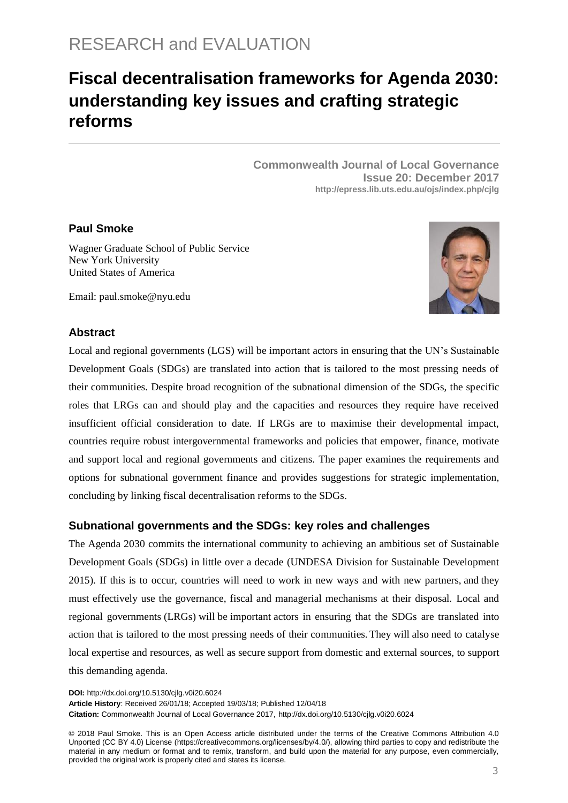# **Fiscal decentralisation frameworks for Agenda 2030: understanding key issues and crafting strategic reforms**

**Commonwealth Journal of Local Governance Issue 20: December 2017 http://epress.lib.uts.edu.au/ojs/index.php/cjlg**

# **Paul Smoke**

Wagner Graduate School of Public Service New York University United States of America

Email: paul.smoke@nyu.edu



# **Abstract**

Local and regional governments (LGS) will be important actors in ensuring that the UN's Sustainable Development Goals (SDGs) are translated into action that is tailored to the most pressing needs of their communities. Despite broad recognition of the subnational dimension of the SDGs, the specific roles that LRGs can and should play and the capacities and resources they require have received insufficient official consideration to date. If LRGs are to maximise their developmental impact, countries require robust intergovernmental frameworks and policies that empower, finance, motivate and support local and regional governments and citizens. The paper examines the requirements and options for subnational government finance and provides suggestions for strategic implementation, concluding by linking fiscal decentralisation reforms to the SDGs.

### **Subnational governments and the SDGs: key roles and challenges**

The Agenda 2030 commits the international community to achieving an ambitious set of Sustainable Development Goals (SDGs) in little over a decade (UNDESA Division for Sustainable Development 2015). If this is to occur, countries will need to work in new ways and with new partners, and they must effectively use the governance, fiscal and managerial mechanisms at their disposal. Local and regional governments (LRGs) will be important actors in ensuring that the SDGs are translated into action that is tailored to the most pressing needs of their communities. They will also need to catalyse local expertise and resources, as well as secure support from domestic and external sources, to support this demanding agenda.

**DOI:** http://dx.doi.org/10.5130/cjlg.v0i20.6024

**Article History**: Received 26/01/18; Accepted 19/03/18; Published 12/04/18

**Citation:** Commonwealth Journal of Local Governance 2017, http://dx.doi.org/10.5130/cjlg.v0i20.6024

© 2018 Paul Smoke. This is an Open Access article distributed under the terms of the Creative Commons Attribution 4.0 Unported (CC BY 4.0) License [\(https://creativecommons.org/licenses/by/4.0/\)](https://creativecommons.org/licenses/by/4.0/), allowing third parties to copy and redistribute the material in any medium or format and to remix, transform, and build upon the material for any purpose, even commercially, provided the original work is properly cited and states its license.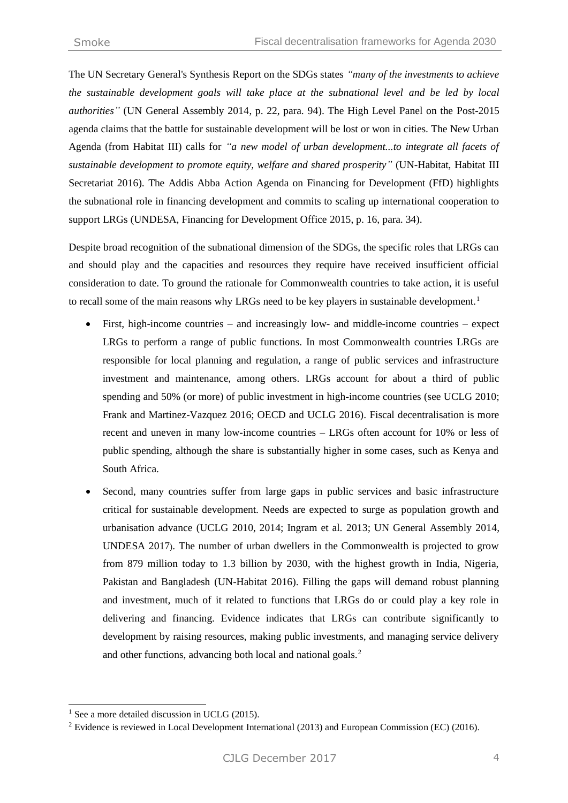The UN Secretary General's Synthesis Report on the SDGs states *"many of the investments to achieve the sustainable development goals will take place at the subnational level and be led by local authorities"* (UN General Assembly 2014, p. 22, para. 94). The High Level Panel on the Post-2015 agenda claims that the battle for sustainable development will be lost or won in cities. The New Urban Agenda (from Habitat III) calls for *"a new model of urban development...to integrate all facets of sustainable development to promote equity, welfare and shared prosperity"* (UN-Habitat, Habitat III Secretariat 2016). The Addis Abba Action Agenda on Financing for Development (FfD) highlights the subnational role in financing development and commits to scaling up international cooperation to support LRGs (UNDESA, Financing for Development Office 2015, p. 16, para. 34).

Despite broad recognition of the subnational dimension of the SDGs, the specific roles that LRGs can and should play and the capacities and resources they require have received insufficient official consideration to date. To ground the rationale for Commonwealth countries to take action, it is useful to recall some of the main reasons why LRGs need to be key players in sustainable development.<sup>1</sup>

- First, high-income countries and increasingly low- and middle-income countries expect LRGs to perform a range of public functions. In most Commonwealth countries LRGs are responsible for local planning and regulation, a range of public services and infrastructure investment and maintenance, among others. LRGs account for about a third of public spending and 50% (or more) of public investment in high-income countries (see UCLG 2010; Frank and Martinez-Vazquez 2016; OECD and UCLG 2016). Fiscal decentralisation is more recent and uneven in many low-income countries – LRGs often account for 10% or less of public spending, although the share is substantially higher in some cases, such as Kenya and South Africa.
- Second, many countries suffer from large gaps in public services and basic infrastructure critical for sustainable development. Needs are expected to surge as population growth and urbanisation advance (UCLG 2010, 2014; Ingram et al. 2013; UN General Assembly 2014, UNDESA 2017). The number of urban dwellers in the Commonwealth is projected to grow from 879 million today to 1.3 billion by 2030, with the highest growth in India, Nigeria, Pakistan and Bangladesh (UN-Habitat 2016). Filling the gaps will demand robust planning and investment, much of it related to functions that LRGs do or could play a key role in delivering and financing. Evidence indicates that LRGs can contribute significantly to development by raising resources, making public investments, and managing service delivery and other functions, advancing both local and national goals.<sup>2</sup>

-

 $<sup>1</sup>$  See a more detailed discussion in UCLG (2015).</sup>

<sup>&</sup>lt;sup>2</sup> Evidence is reviewed in Local Development International (2013) and European Commission (EC) (2016).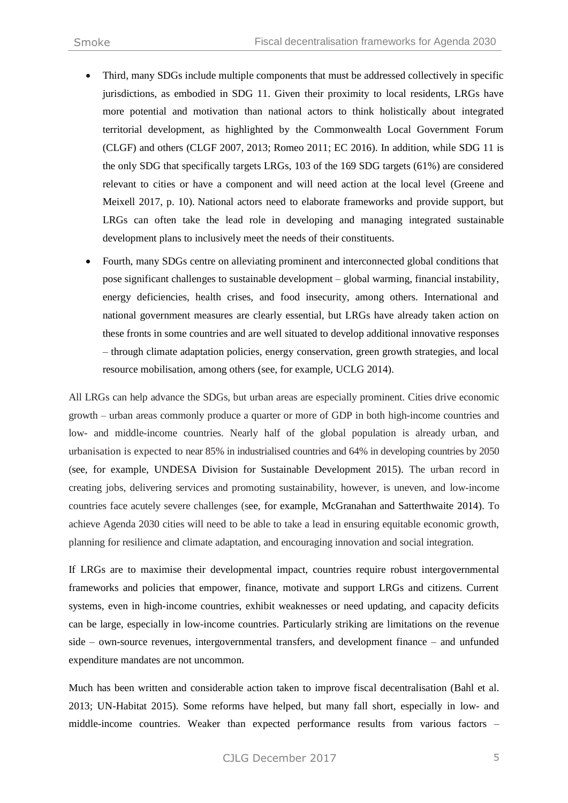- Third, many SDGs include multiple components that must be addressed collectively in specific jurisdictions, as embodied in SDG 11. Given their proximity to local residents, LRGs have more potential and motivation than national actors to think holistically about integrated territorial development, as highlighted by the Commonwealth Local Government Forum (CLGF) and others (CLGF 2007, 2013; Romeo 2011; EC 2016). In addition, while SDG 11 is the only SDG that specifically targets LRGs, 103 of the 169 SDG targets (61%) are considered relevant to cities or have a component and will need action at the local level (Greene and Meixell 2017, p. 10). National actors need to elaborate frameworks and provide support, but LRGs can often take the lead role in developing and managing integrated sustainable development plans to inclusively meet the needs of their constituents.
- Fourth, many SDGs centre on alleviating prominent and interconnected global conditions that pose significant challenges to sustainable development – global warming, financial instability, energy deficiencies, health crises, and food insecurity, among others. International and national government measures are clearly essential, but LRGs have already taken action on these fronts in some countries and are well situated to develop additional innovative responses – through climate adaptation policies, energy conservation, green growth strategies, and local resource mobilisation, among others (see, for example, UCLG 2014).

All LRGs can help advance the SDGs, but urban areas are especially prominent. Cities drive economic growth – urban areas commonly produce a quarter or more of GDP in both high-income countries and low- and middle-income countries. Nearly half of the global population is already urban, and urbanisation is expected to near 85% in industrialised countries and 64% in developing countries by 2050 (see, for example, UNDESA Division for Sustainable Development 2015). The urban record in creating jobs, delivering services and promoting sustainability, however, is uneven, and low-income countries face acutely severe challenges (see, for example, McGranahan and Satterthwaite 2014). To achieve Agenda 2030 cities will need to be able to take a lead in ensuring equitable economic growth, planning for resilience and climate adaptation, and encouraging innovation and social integration.

If LRGs are to maximise their developmental impact, countries require robust intergovernmental frameworks and policies that empower, finance, motivate and support LRGs and citizens. Current systems, even in high-income countries, exhibit weaknesses or need updating, and capacity deficits can be large, especially in low-income countries. Particularly striking are limitations on the revenue side – own-source revenues, intergovernmental transfers, and development finance – and unfunded expenditure mandates are not uncommon.

Much has been written and considerable action taken to improve fiscal decentralisation (Bahl et al. 2013; UN-Habitat 2015). Some reforms have helped, but many fall short, especially in low- and middle-income countries. Weaker than expected performance results from various factors –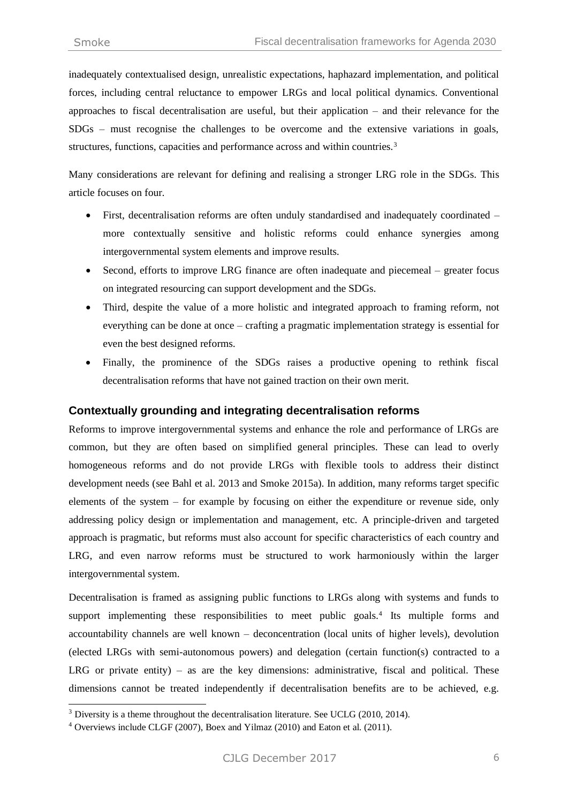inadequately contextualised design, unrealistic expectations, haphazard implementation, and political forces, including central reluctance to empower LRGs and local political dynamics. Conventional approaches to fiscal decentralisation are useful, but their application – and their relevance for the SDGs – must recognise the challenges to be overcome and the extensive variations in goals, structures, functions, capacities and performance across and within countries.<sup>3</sup>

Many considerations are relevant for defining and realising a stronger LRG role in the SDGs. This article focuses on four.

- First, decentralisation reforms are often unduly standardised and inadequately coordinated more contextually sensitive and holistic reforms could enhance synergies among intergovernmental system elements and improve results.
- Second, efforts to improve LRG finance are often inadequate and piecemeal greater focus on integrated resourcing can support development and the SDGs.
- Third, despite the value of a more holistic and integrated approach to framing reform, not everything can be done at once – crafting a pragmatic implementation strategy is essential for even the best designed reforms.
- Finally, the prominence of the SDGs raises a productive opening to rethink fiscal decentralisation reforms that have not gained traction on their own merit.

### **Contextually grounding and integrating decentralisation reforms**

Reforms to improve intergovernmental systems and enhance the role and performance of LRGs are common, but they are often based on simplified general principles. These can lead to overly homogeneous reforms and do not provide LRGs with flexible tools to address their distinct development needs (see Bahl et al. 2013 and Smoke 2015a). In addition, many reforms target specific elements of the system – for example by focusing on either the expenditure or revenue side, only addressing policy design or implementation and management, etc. A principle-driven and targeted approach is pragmatic, but reforms must also account for specific characteristics of each country and LRG, and even narrow reforms must be structured to work harmoniously within the larger intergovernmental system.

Decentralisation is framed as assigning public functions to LRGs along with systems and funds to support implementing these responsibilities to meet public goals.<sup>4</sup> Its multiple forms and accountability channels are well known – deconcentration (local units of higher levels), devolution (elected LRGs with semi-autonomous powers) and delegation (certain function(s) contracted to a LRG or private entity) – as are the key dimensions: administrative, fiscal and political. These dimensions cannot be treated independently if decentralisation benefits are to be achieved, e.g.

<sup>&</sup>lt;sup>3</sup> Diversity is a theme throughout the decentralisation literature. See UCLG (2010, 2014).

<sup>4</sup> Overviews include CLGF (2007), Boex and Yilmaz (2010) and Eaton et al. (2011).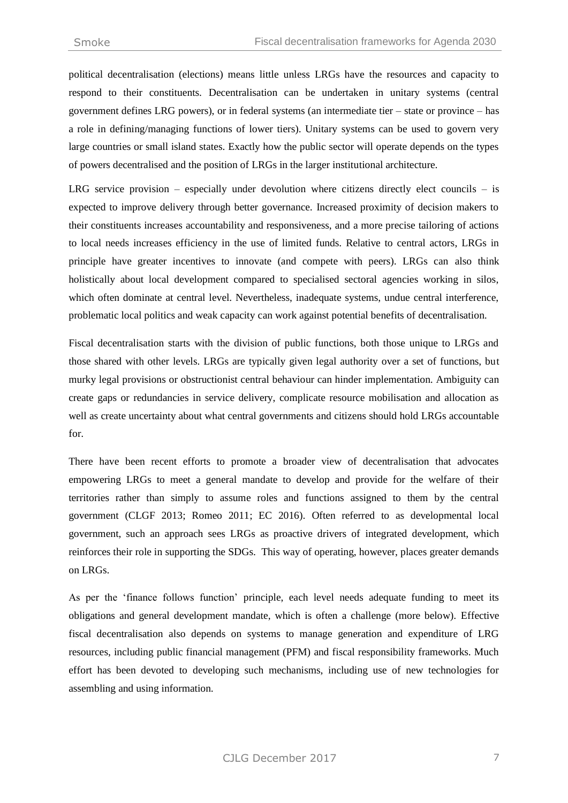political decentralisation (elections) means little unless LRGs have the resources and capacity to respond to their constituents. Decentralisation can be undertaken in unitary systems (central government defines LRG powers), or in federal systems (an intermediate tier – state or province – has a role in defining/managing functions of lower tiers). Unitary systems can be used to govern very large countries or small island states. Exactly how the public sector will operate depends on the types of powers decentralised and the position of LRGs in the larger institutional architecture.

LRG service provision – especially under devolution where citizens directly elect councils – is expected to improve delivery through better governance. Increased proximity of decision makers to their constituents increases accountability and responsiveness, and a more precise tailoring of actions to local needs increases efficiency in the use of limited funds. Relative to central actors, LRGs in principle have greater incentives to innovate (and compete with peers). LRGs can also think holistically about local development compared to specialised sectoral agencies working in silos, which often dominate at central level. Nevertheless, inadequate systems, undue central interference, problematic local politics and weak capacity can work against potential benefits of decentralisation.

Fiscal decentralisation starts with the division of public functions, both those unique to LRGs and those shared with other levels. LRGs are typically given legal authority over a set of functions, but murky legal provisions or obstructionist central behaviour can hinder implementation. Ambiguity can create gaps or redundancies in service delivery, complicate resource mobilisation and allocation as well as create uncertainty about what central governments and citizens should hold LRGs accountable for.

There have been recent efforts to promote a broader view of decentralisation that advocates empowering LRGs to meet a general mandate to develop and provide for the welfare of their territories rather than simply to assume roles and functions assigned to them by the central government (CLGF 2013; Romeo 2011; EC 2016). Often referred to as developmental local government, such an approach sees LRGs as proactive drivers of integrated development, which reinforces their role in supporting the SDGs. This way of operating, however, places greater demands on LRGs.

As per the 'finance follows function' principle, each level needs adequate funding to meet its obligations and general development mandate, which is often a challenge (more below). Effective fiscal decentralisation also depends on systems to manage generation and expenditure of LRG resources, including public financial management (PFM) and fiscal responsibility frameworks. Much effort has been devoted to developing such mechanisms, including use of new technologies for assembling and using information.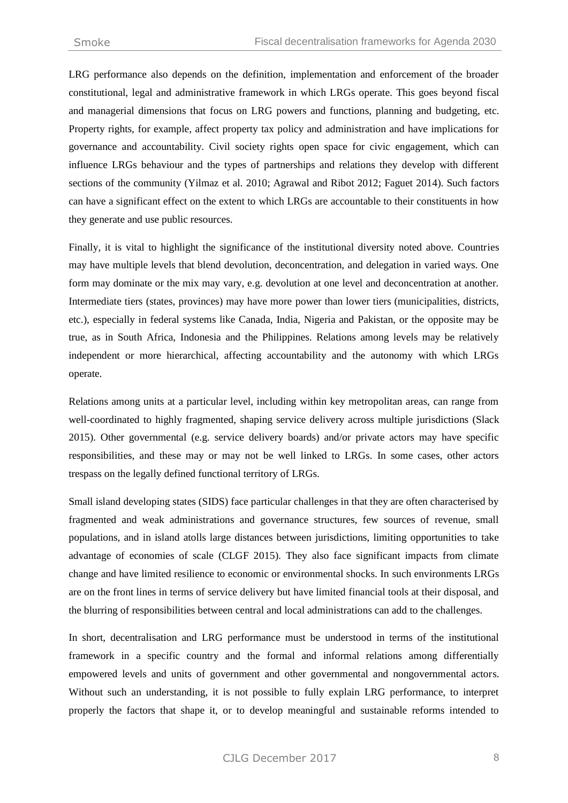LRG performance also depends on the definition, implementation and enforcement of the broader constitutional, legal and administrative framework in which LRGs operate. This goes beyond fiscal and managerial dimensions that focus on LRG powers and functions, planning and budgeting, etc. Property rights, for example, affect property tax policy and administration and have implications for governance and accountability. Civil society rights open space for civic engagement, which can influence LRGs behaviour and the types of partnerships and relations they develop with different sections of the community (Yilmaz et al. 2010; Agrawal and Ribot 2012; Faguet 2014). Such factors can have a significant effect on the extent to which LRGs are accountable to their constituents in how they generate and use public resources.

Finally, it is vital to highlight the significance of the institutional diversity noted above. Countries may have multiple levels that blend devolution, deconcentration, and delegation in varied ways. One form may dominate or the mix may vary, e.g. devolution at one level and deconcentration at another. Intermediate tiers (states, provinces) may have more power than lower tiers (municipalities, districts, etc.), especially in federal systems like Canada, India, Nigeria and Pakistan, or the opposite may be true, as in South Africa, Indonesia and the Philippines. Relations among levels may be relatively independent or more hierarchical, affecting accountability and the autonomy with which LRGs operate.

Relations among units at a particular level, including within key metropolitan areas, can range from well-coordinated to highly fragmented, shaping service delivery across multiple jurisdictions (Slack 2015). Other governmental (e.g. service delivery boards) and/or private actors may have specific responsibilities, and these may or may not be well linked to LRGs. In some cases, other actors trespass on the legally defined functional territory of LRGs.

Small island developing states (SIDS) face particular challenges in that they are often characterised by fragmented and weak administrations and governance structures, few sources of revenue, small populations, and in island atolls large distances between jurisdictions, limiting opportunities to take advantage of economies of scale (CLGF 2015). They also face significant impacts from climate change and have limited resilience to economic or environmental shocks. In such environments LRGs are on the front lines in terms of service delivery but have limited financial tools at their disposal, and the blurring of responsibilities between central and local administrations can add to the challenges.

In short, decentralisation and LRG performance must be understood in terms of the institutional framework in a specific country and the formal and informal relations among differentially empowered levels and units of government and other governmental and nongovernmental actors. Without such an understanding, it is not possible to fully explain LRG performance, to interpret properly the factors that shape it, or to develop meaningful and sustainable reforms intended to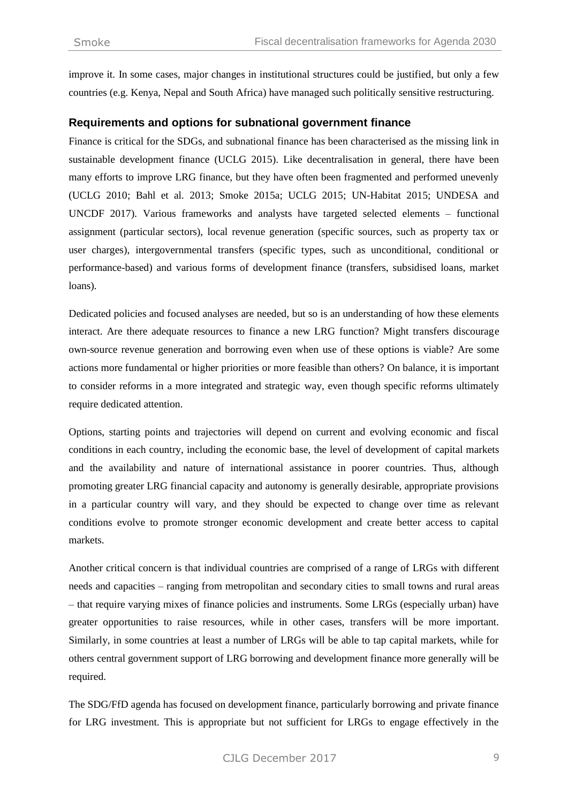improve it. In some cases, major changes in institutional structures could be justified, but only a few countries (e.g. Kenya, Nepal and South Africa) have managed such politically sensitive restructuring.

## **Requirements and options for subnational government finance**

Finance is critical for the SDGs, and subnational finance has been characterised as the missing link in sustainable development finance (UCLG 2015). Like decentralisation in general, there have been many efforts to improve LRG finance, but they have often been fragmented and performed unevenly (UCLG 2010; Bahl et al. 2013; Smoke 2015a; UCLG 2015; UN-Habitat 2015; UNDESA and UNCDF 2017). Various frameworks and analysts have targeted selected elements – functional assignment (particular sectors), local revenue generation (specific sources, such as property tax or user charges), intergovernmental transfers (specific types, such as unconditional, conditional or performance-based) and various forms of development finance (transfers, subsidised loans, market loans).

Dedicated policies and focused analyses are needed, but so is an understanding of how these elements interact. Are there adequate resources to finance a new LRG function? Might transfers discourage own-source revenue generation and borrowing even when use of these options is viable? Are some actions more fundamental or higher priorities or more feasible than others? On balance, it is important to consider reforms in a more integrated and strategic way, even though specific reforms ultimately require dedicated attention.

Options, starting points and trajectories will depend on current and evolving economic and fiscal conditions in each country, including the economic base, the level of development of capital markets and the availability and nature of international assistance in poorer countries. Thus, although promoting greater LRG financial capacity and autonomy is generally desirable, appropriate provisions in a particular country will vary, and they should be expected to change over time as relevant conditions evolve to promote stronger economic development and create better access to capital markets.

Another critical concern is that individual countries are comprised of a range of LRGs with different needs and capacities – ranging from metropolitan and secondary cities to small towns and rural areas – that require varying mixes of finance policies and instruments. Some LRGs (especially urban) have greater opportunities to raise resources, while in other cases, transfers will be more important. Similarly, in some countries at least a number of LRGs will be able to tap capital markets, while for others central government support of LRG borrowing and development finance more generally will be required.

The SDG/FfD agenda has focused on development finance, particularly borrowing and private finance for LRG investment. This is appropriate but not sufficient for LRGs to engage effectively in the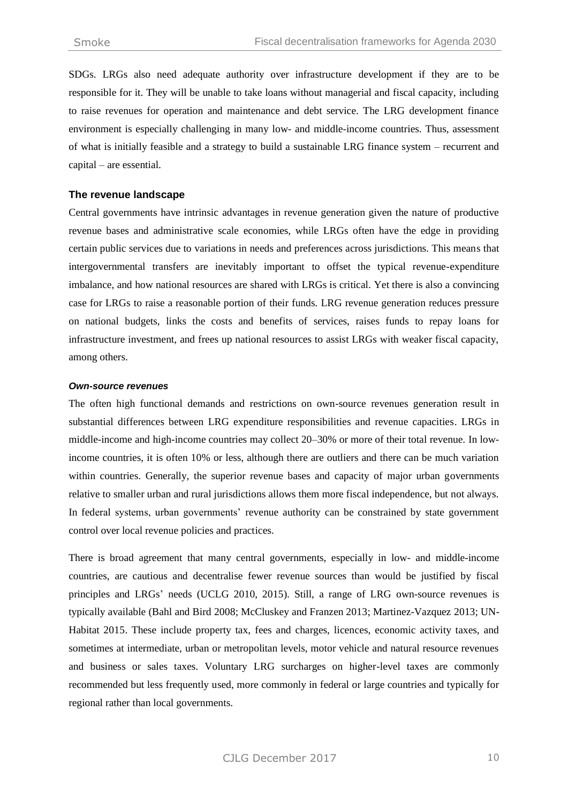SDGs. LRGs also need adequate authority over infrastructure development if they are to be responsible for it. They will be unable to take loans without managerial and fiscal capacity, including to raise revenues for operation and maintenance and debt service. The LRG development finance environment is especially challenging in many low- and middle-income countries. Thus, assessment of what is initially feasible and a strategy to build a sustainable LRG finance system – recurrent and capital – are essential.

#### **The revenue landscape**

Central governments have intrinsic advantages in revenue generation given the nature of productive revenue bases and administrative scale economies, while LRGs often have the edge in providing certain public services due to variations in needs and preferences across jurisdictions. This means that intergovernmental transfers are inevitably important to offset the typical revenue-expenditure imbalance, and how national resources are shared with LRGs is critical. Yet there is also a convincing case for LRGs to raise a reasonable portion of their funds. LRG revenue generation reduces pressure on national budgets, links the costs and benefits of services, raises funds to repay loans for infrastructure investment, and frees up national resources to assist LRGs with weaker fiscal capacity, among others.

#### *Own-source revenues*

The often high functional demands and restrictions on own-source revenues generation result in substantial differences between LRG expenditure responsibilities and revenue capacities. LRGs in middle-income and high-income countries may collect 20–30% or more of their total revenue. In lowincome countries, it is often 10% or less, although there are outliers and there can be much variation within countries. Generally, the superior revenue bases and capacity of major urban governments relative to smaller urban and rural jurisdictions allows them more fiscal independence, but not always. In federal systems, urban governments' revenue authority can be constrained by state government control over local revenue policies and practices.

There is broad agreement that many central governments, especially in low- and middle-income countries, are cautious and decentralise fewer revenue sources than would be justified by fiscal principles and LRGs' needs (UCLG 2010, 2015). Still, a range of LRG own-source revenues is typically available (Bahl and Bird 2008; McCluskey and Franzen 2013; Martinez-Vazquez 2013; UN-Habitat 2015. These include property tax, fees and charges, licences, economic activity taxes, and sometimes at intermediate, urban or metropolitan levels, motor vehicle and natural resource revenues and business or sales taxes. Voluntary LRG surcharges on higher-level taxes are commonly recommended but less frequently used, more commonly in federal or large countries and typically for regional rather than local governments.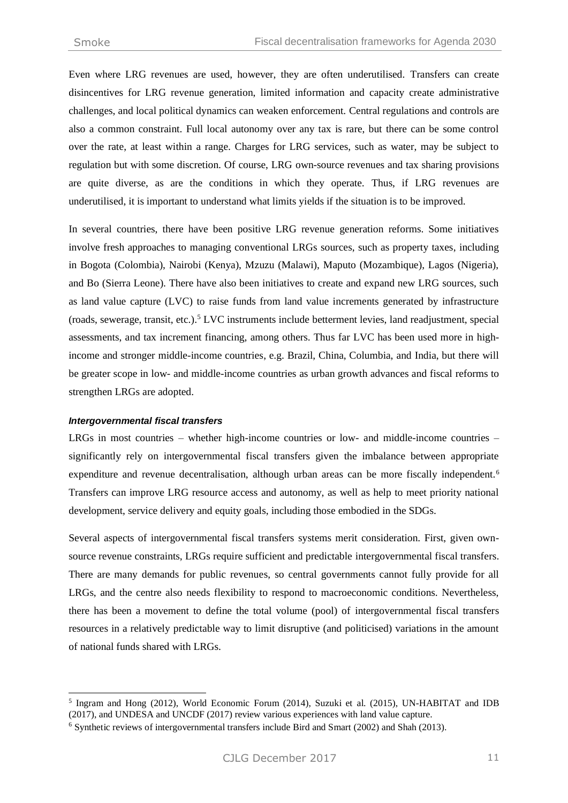Even where LRG revenues are used, however, they are often underutilised. Transfers can create disincentives for LRG revenue generation, limited information and capacity create administrative challenges, and local political dynamics can weaken enforcement. Central regulations and controls are also a common constraint. Full local autonomy over any tax is rare, but there can be some control over the rate, at least within a range. Charges for LRG services, such as water, may be subject to regulation but with some discretion. Of course, LRG own-source revenues and tax sharing provisions are quite diverse, as are the conditions in which they operate. Thus, if LRG revenues are underutilised, it is important to understand what limits yields if the situation is to be improved.

In several countries, there have been positive LRG revenue generation reforms. Some initiatives involve fresh approaches to managing conventional LRGs sources, such as property taxes, including in Bogota (Colombia), Nairobi (Kenya), Mzuzu (Malawi), Maputo (Mozambique), Lagos (Nigeria), and Bo (Sierra Leone). There have also been initiatives to create and expand new LRG sources, such as land value capture (LVC) to raise funds from land value increments generated by infrastructure (roads, sewerage, transit, etc.). <sup>5</sup> LVC instruments include betterment levies, land readjustment, special assessments, and tax increment financing, among others. Thus far LVC has been used more in highincome and stronger middle-income countries, e.g. Brazil, China, Columbia, and India, but there will be greater scope in low- and middle-income countries as urban growth advances and fiscal reforms to strengthen LRGs are adopted.

#### *Intergovernmental fiscal transfers*

-

LRGs in most countries – whether high-income countries or low- and middle-income countries – significantly rely on intergovernmental fiscal transfers given the imbalance between appropriate expenditure and revenue decentralisation, although urban areas can be more fiscally independent.<sup>6</sup> Transfers can improve LRG resource access and autonomy, as well as help to meet priority national development, service delivery and equity goals, including those embodied in the SDGs.

Several aspects of intergovernmental fiscal transfers systems merit consideration. First, given ownsource revenue constraints, LRGs require sufficient and predictable intergovernmental fiscal transfers. There are many demands for public revenues, so central governments cannot fully provide for all LRGs, and the centre also needs flexibility to respond to macroeconomic conditions. Nevertheless, there has been a movement to define the total volume (pool) of intergovernmental fiscal transfers resources in a relatively predictable way to limit disruptive (and politicised) variations in the amount of national funds shared with LRGs.

<sup>&</sup>lt;sup>5</sup> Ingram and Hong (2012), World Economic Forum (2014), Suzuki et al. (2015), UN-HABITAT and IDB (2017), and UNDESA and UNCDF (2017) review various experiences with land value capture.

<sup>6</sup> Synthetic reviews of intergovernmental transfers include Bird and Smart (2002) and Shah (2013).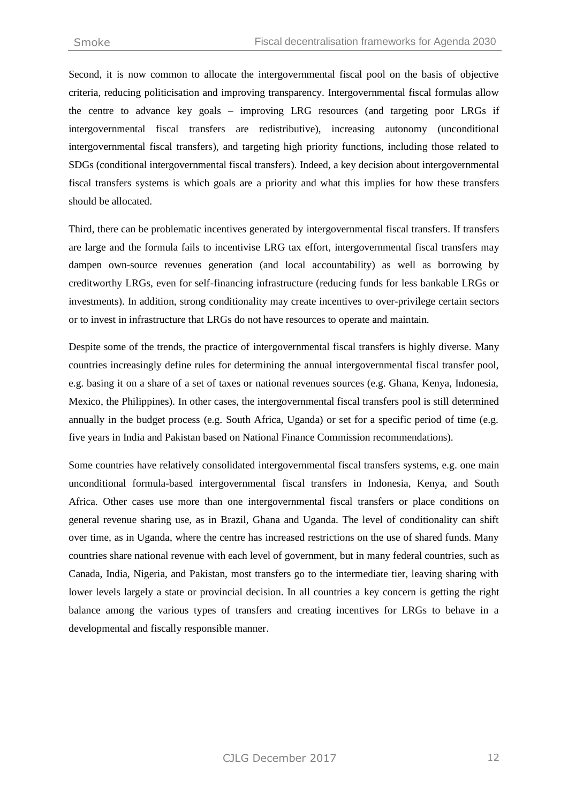Second, it is now common to allocate the intergovernmental fiscal pool on the basis of objective criteria, reducing politicisation and improving transparency. Intergovernmental fiscal formulas allow the centre to advance key goals – improving LRG resources (and targeting poor LRGs if intergovernmental fiscal transfers are redistributive), increasing autonomy (unconditional intergovernmental fiscal transfers), and targeting high priority functions, including those related to SDGs (conditional intergovernmental fiscal transfers). Indeed, a key decision about intergovernmental fiscal transfers systems is which goals are a priority and what this implies for how these transfers should be allocated.

Third, there can be problematic incentives generated by intergovernmental fiscal transfers. If transfers are large and the formula fails to incentivise LRG tax effort, intergovernmental fiscal transfers may dampen own-source revenues generation (and local accountability) as well as borrowing by creditworthy LRGs, even for self-financing infrastructure (reducing funds for less bankable LRGs or investments). In addition, strong conditionality may create incentives to over-privilege certain sectors or to invest in infrastructure that LRGs do not have resources to operate and maintain.

Despite some of the trends, the practice of intergovernmental fiscal transfers is highly diverse. Many countries increasingly define rules for determining the annual intergovernmental fiscal transfer pool, e.g. basing it on a share of a set of taxes or national revenues sources (e.g. Ghana, Kenya, Indonesia, Mexico, the Philippines). In other cases, the intergovernmental fiscal transfers pool is still determined annually in the budget process (e.g. South Africa, Uganda) or set for a specific period of time (e.g. five years in India and Pakistan based on National Finance Commission recommendations).

Some countries have relatively consolidated intergovernmental fiscal transfers systems, e.g. one main unconditional formula-based intergovernmental fiscal transfers in Indonesia, Kenya, and South Africa. Other cases use more than one intergovernmental fiscal transfers or place conditions on general revenue sharing use, as in Brazil, Ghana and Uganda. The level of conditionality can shift over time, as in Uganda, where the centre has increased restrictions on the use of shared funds. Many countries share national revenue with each level of government, but in many federal countries, such as Canada, India, Nigeria, and Pakistan, most transfers go to the intermediate tier, leaving sharing with lower levels largely a state or provincial decision. In all countries a key concern is getting the right balance among the various types of transfers and creating incentives for LRGs to behave in a developmental and fiscally responsible manner.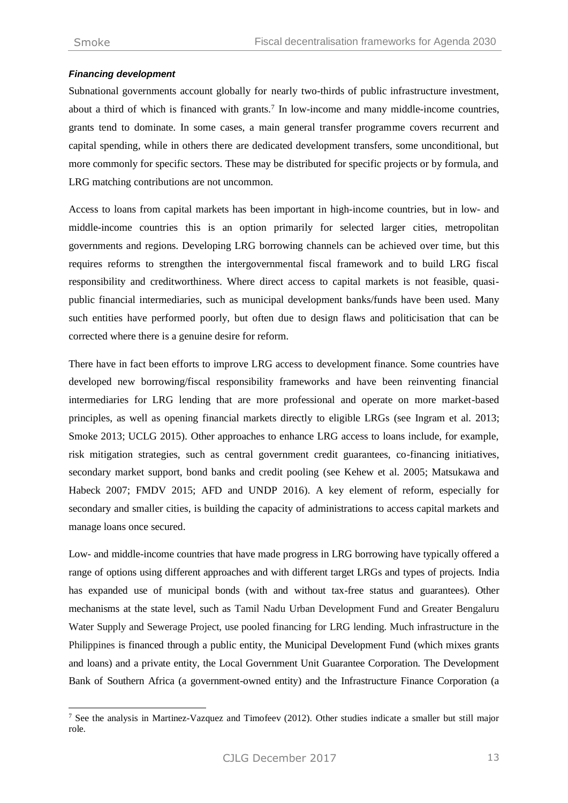### *Financing development*

Subnational governments account globally for nearly two-thirds of public infrastructure investment, about a third of which is financed with grants.<sup>7</sup> In low-income and many middle-income countries, grants tend to dominate. In some cases, a main general transfer programme covers recurrent and capital spending, while in others there are dedicated development transfers, some unconditional, but more commonly for specific sectors. These may be distributed for specific projects or by formula, and LRG matching contributions are not uncommon.

Access to loans from capital markets has been important in high-income countries, but in low- and middle-income countries this is an option primarily for selected larger cities, metropolitan governments and regions. Developing LRG borrowing channels can be achieved over time, but this requires reforms to strengthen the intergovernmental fiscal framework and to build LRG fiscal responsibility and creditworthiness. Where direct access to capital markets is not feasible, quasipublic financial intermediaries, such as municipal development banks/funds have been used. Many such entities have performed poorly, but often due to design flaws and politicisation that can be corrected where there is a genuine desire for reform.

There have in fact been efforts to improve LRG access to development finance. Some countries have developed new borrowing/fiscal responsibility frameworks and have been reinventing financial intermediaries for LRG lending that are more professional and operate on more market-based principles, as well as opening financial markets directly to eligible LRGs (see Ingram et al. 2013; Smoke 2013; UCLG 2015). Other approaches to enhance LRG access to loans include, for example, risk mitigation strategies, such as central government credit guarantees, co-financing initiatives, secondary market support, bond banks and credit pooling (see Kehew et al. 2005; Matsukawa and Habeck 2007; FMDV 2015; AFD and UNDP 2016). A key element of reform, especially for secondary and smaller cities, is building the capacity of administrations to access capital markets and manage loans once secured.

Low- and middle-income countries that have made progress in LRG borrowing have typically offered a range of options using different approaches and with different target LRGs and types of projects. India has expanded use of municipal bonds (with and without tax-free status and guarantees). Other mechanisms at the state level, such as Tamil Nadu Urban Development Fund and Greater Bengaluru Water Supply and Sewerage Project, use pooled financing for LRG lending. Much infrastructure in the Philippines is financed through a public entity, the Municipal Development Fund (which mixes grants and loans) and a private entity, the Local Government Unit Guarantee Corporation. The Development Bank of Southern Africa (a government-owned entity) and the Infrastructure Finance Corporation (a

<sup>7</sup> See the analysis in Martinez-Vazquez and Timofeev (2012). Other studies indicate a smaller but still major role.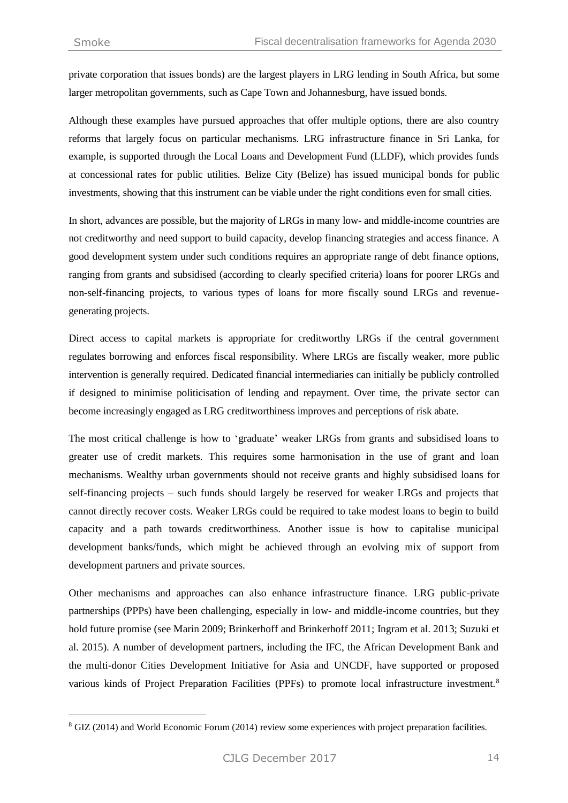private corporation that issues bonds) are the largest players in LRG lending in South Africa, but some larger metropolitan governments, such as Cape Town and Johannesburg, have issued bonds.

Although these examples have pursued approaches that offer multiple options, there are also country reforms that largely focus on particular mechanisms. LRG infrastructure finance in Sri Lanka, for example, is supported through the Local Loans and Development Fund (LLDF), which provides funds at concessional rates for public utilities. Belize City (Belize) has issued municipal bonds for public investments, showing that this instrument can be viable under the right conditions even for small cities.

In short, advances are possible, but the majority of LRGs in many low- and middle-income countries are not creditworthy and need support to build capacity, develop financing strategies and access finance. A good development system under such conditions requires an appropriate range of debt finance options, ranging from grants and subsidised (according to clearly specified criteria) loans for poorer LRGs and non-self-financing projects, to various types of loans for more fiscally sound LRGs and revenuegenerating projects.

Direct access to capital markets is appropriate for creditworthy LRGs if the central government regulates borrowing and enforces fiscal responsibility. Where LRGs are fiscally weaker, more public intervention is generally required. Dedicated financial intermediaries can initially be publicly controlled if designed to minimise politicisation of lending and repayment. Over time, the private sector can become increasingly engaged as LRG creditworthiness improves and perceptions of risk abate.

The most critical challenge is how to 'graduate' weaker LRGs from grants and subsidised loans to greater use of credit markets. This requires some harmonisation in the use of grant and loan mechanisms. Wealthy urban governments should not receive grants and highly subsidised loans for self-financing projects – such funds should largely be reserved for weaker LRGs and projects that cannot directly recover costs. Weaker LRGs could be required to take modest loans to begin to build capacity and a path towards creditworthiness. Another issue is how to capitalise municipal development banks/funds, which might be achieved through an evolving mix of support from development partners and private sources.

Other mechanisms and approaches can also enhance infrastructure finance. LRG public-private partnerships (PPPs) have been challenging, especially in low- and middle-income countries, but they hold future promise (see Marin 2009; Brinkerhoff and Brinkerhoff 2011; Ingram et al. 2013; Suzuki et al. 2015). A number of development partners, including the IFC, the African Development Bank and the multi-donor Cities Development Initiative for Asia and UNCDF, have supported or proposed various kinds of Project Preparation Facilities (PPFs) to promote local infrastructure investment.<sup>8</sup>

<sup>8</sup> GIZ (2014) and World Economic Forum (2014) review some experiences with project preparation facilities.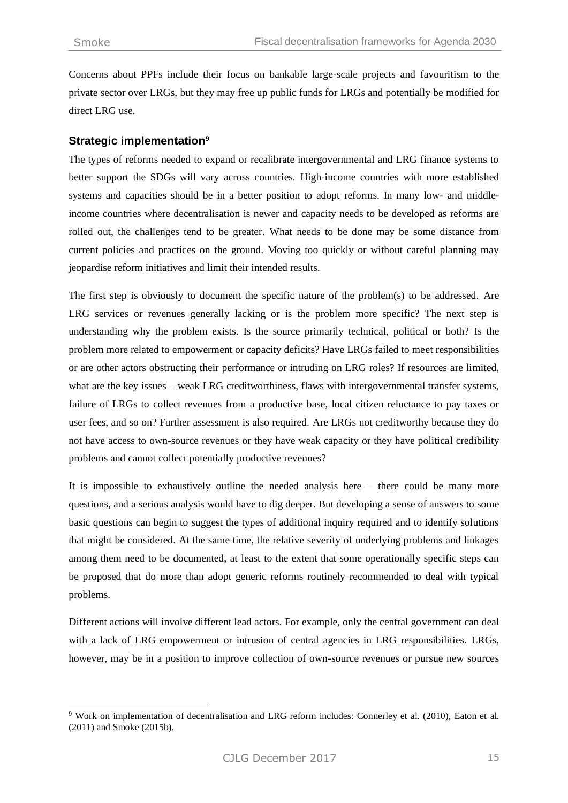$\overline{a}$ 

Concerns about PPFs include their focus on bankable large-scale projects and favouritism to the private sector over LRGs, but they may free up public funds for LRGs and potentially be modified for direct LRG use.

# **Strategic implementation<sup>9</sup>**

The types of reforms needed to expand or recalibrate intergovernmental and LRG finance systems to better support the SDGs will vary across countries. High-income countries with more established systems and capacities should be in a better position to adopt reforms. In many low- and middleincome countries where decentralisation is newer and capacity needs to be developed as reforms are rolled out, the challenges tend to be greater. What needs to be done may be some distance from current policies and practices on the ground. Moving too quickly or without careful planning may jeopardise reform initiatives and limit their intended results.

The first step is obviously to document the specific nature of the problem(s) to be addressed. Are LRG services or revenues generally lacking or is the problem more specific? The next step is understanding why the problem exists. Is the source primarily technical, political or both? Is the problem more related to empowerment or capacity deficits? Have LRGs failed to meet responsibilities or are other actors obstructing their performance or intruding on LRG roles? If resources are limited, what are the key issues – weak LRG creditworthiness, flaws with intergovernmental transfer systems, failure of LRGs to collect revenues from a productive base, local citizen reluctance to pay taxes or user fees, and so on? Further assessment is also required. Are LRGs not creditworthy because they do not have access to own-source revenues or they have weak capacity or they have political credibility problems and cannot collect potentially productive revenues?

It is impossible to exhaustively outline the needed analysis here – there could be many more questions, and a serious analysis would have to dig deeper. But developing a sense of answers to some basic questions can begin to suggest the types of additional inquiry required and to identify solutions that might be considered. At the same time, the relative severity of underlying problems and linkages among them need to be documented, at least to the extent that some operationally specific steps can be proposed that do more than adopt generic reforms routinely recommended to deal with typical problems.

Different actions will involve different lead actors. For example, only the central government can deal with a lack of LRG empowerment or intrusion of central agencies in LRG responsibilities. LRGs, however, may be in a position to improve collection of own-source revenues or pursue new sources

<sup>9</sup> Work on implementation of decentralisation and LRG reform includes: Connerley et al. (2010), Eaton et al. (2011) and Smoke (2015b).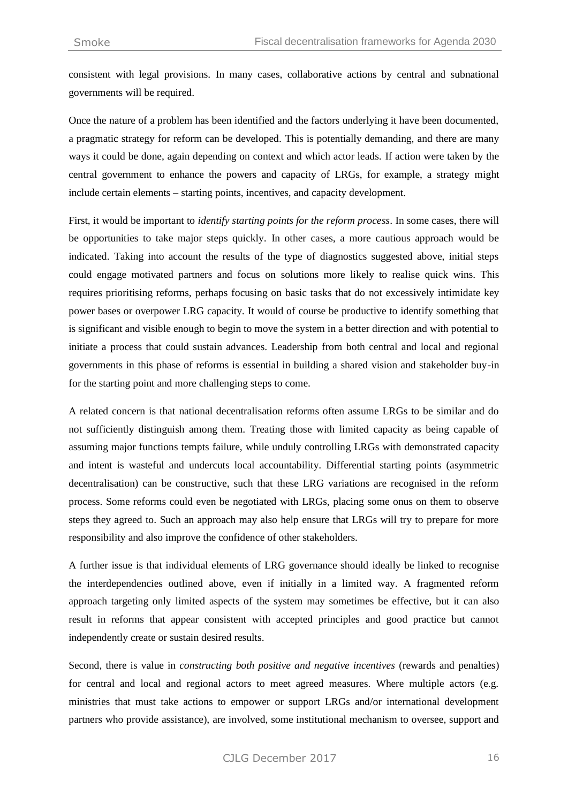consistent with legal provisions. In many cases, collaborative actions by central and subnational governments will be required.

Once the nature of a problem has been identified and the factors underlying it have been documented, a pragmatic strategy for reform can be developed. This is potentially demanding, and there are many ways it could be done, again depending on context and which actor leads. If action were taken by the central government to enhance the powers and capacity of LRGs, for example, a strategy might include certain elements – starting points, incentives, and capacity development.

First, it would be important to *identify starting points for the reform process*. In some cases, there will be opportunities to take major steps quickly. In other cases, a more cautious approach would be indicated. Taking into account the results of the type of diagnostics suggested above, initial steps could engage motivated partners and focus on solutions more likely to realise quick wins. This requires prioritising reforms, perhaps focusing on basic tasks that do not excessively intimidate key power bases or overpower LRG capacity. It would of course be productive to identify something that is significant and visible enough to begin to move the system in a better direction and with potential to initiate a process that could sustain advances. Leadership from both central and local and regional governments in this phase of reforms is essential in building a shared vision and stakeholder buy-in for the starting point and more challenging steps to come.

A related concern is that national decentralisation reforms often assume LRGs to be similar and do not sufficiently distinguish among them. Treating those with limited capacity as being capable of assuming major functions tempts failure, while unduly controlling LRGs with demonstrated capacity and intent is wasteful and undercuts local accountability. Differential starting points (asymmetric decentralisation) can be constructive, such that these LRG variations are recognised in the reform process. Some reforms could even be negotiated with LRGs, placing some onus on them to observe steps they agreed to. Such an approach may also help ensure that LRGs will try to prepare for more responsibility and also improve the confidence of other stakeholders.

A further issue is that individual elements of LRG governance should ideally be linked to recognise the interdependencies outlined above, even if initially in a limited way. A fragmented reform approach targeting only limited aspects of the system may sometimes be effective, but it can also result in reforms that appear consistent with accepted principles and good practice but cannot independently create or sustain desired results.

Second, there is value in *constructing both positive and negative incentives* (rewards and penalties) for central and local and regional actors to meet agreed measures. Where multiple actors (e.g. ministries that must take actions to empower or support LRGs and/or international development partners who provide assistance), are involved, some institutional mechanism to oversee, support and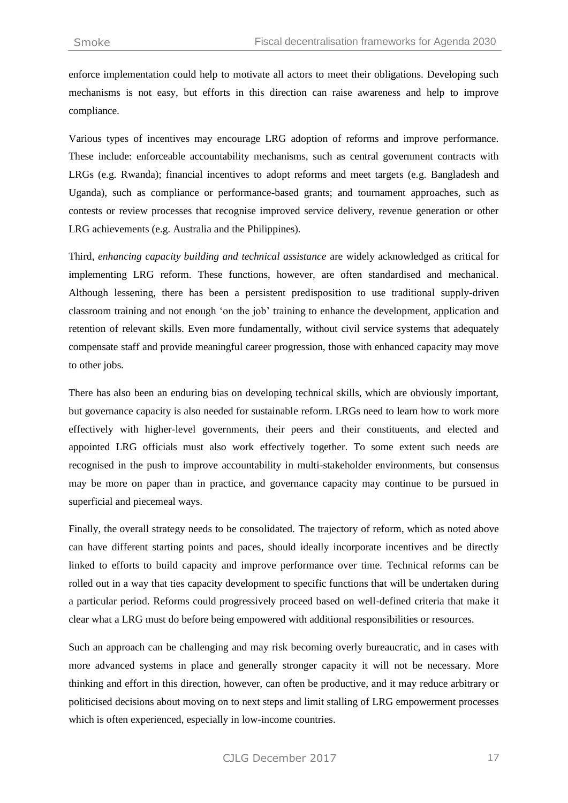enforce implementation could help to motivate all actors to meet their obligations. Developing such mechanisms is not easy, but efforts in this direction can raise awareness and help to improve compliance.

Various types of incentives may encourage LRG adoption of reforms and improve performance. These include: enforceable accountability mechanisms, such as central government contracts with LRGs (e.g. Rwanda); financial incentives to adopt reforms and meet targets (e.g. Bangladesh and Uganda), such as compliance or performance-based grants; and tournament approaches, such as contests or review processes that recognise improved service delivery, revenue generation or other LRG achievements (e.g. Australia and the Philippines).

Third, *enhancing capacity building and technical assistance* are widely acknowledged as critical for implementing LRG reform. These functions, however, are often standardised and mechanical. Although lessening, there has been a persistent predisposition to use traditional supply-driven classroom training and not enough 'on the job' training to enhance the development, application and retention of relevant skills. Even more fundamentally, without civil service systems that adequately compensate staff and provide meaningful career progression, those with enhanced capacity may move to other jobs.

There has also been an enduring bias on developing technical skills, which are obviously important, but governance capacity is also needed for sustainable reform. LRGs need to learn how to work more effectively with higher-level governments, their peers and their constituents, and elected and appointed LRG officials must also work effectively together. To some extent such needs are recognised in the push to improve accountability in multi-stakeholder environments, but consensus may be more on paper than in practice, and governance capacity may continue to be pursued in superficial and piecemeal ways.

Finally, the overall strategy needs to be consolidated. The trajectory of reform, which as noted above can have different starting points and paces, should ideally incorporate incentives and be directly linked to efforts to build capacity and improve performance over time. Technical reforms can be rolled out in a way that ties capacity development to specific functions that will be undertaken during a particular period. Reforms could progressively proceed based on well-defined criteria that make it clear what a LRG must do before being empowered with additional responsibilities or resources.

Such an approach can be challenging and may risk becoming overly bureaucratic, and in cases with more advanced systems in place and generally stronger capacity it will not be necessary. More thinking and effort in this direction, however, can often be productive, and it may reduce arbitrary or politicised decisions about moving on to next steps and limit stalling of LRG empowerment processes which is often experienced, especially in low-income countries.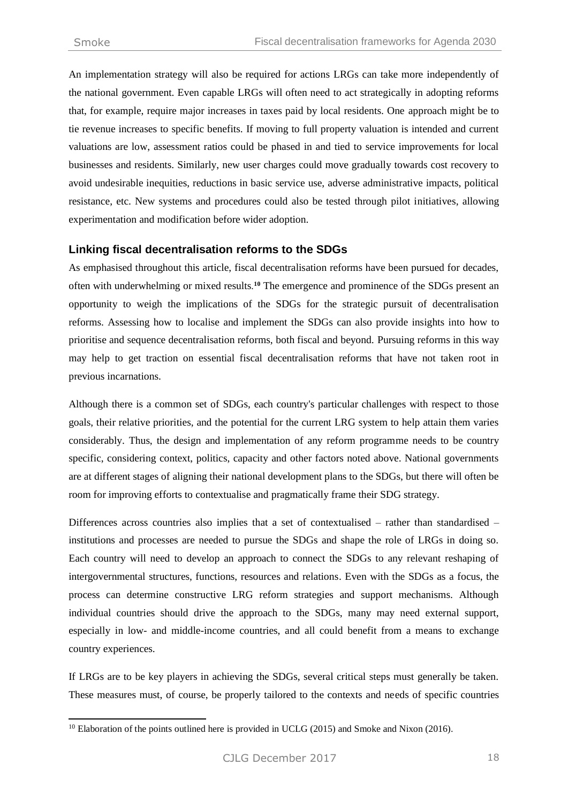An implementation strategy will also be required for actions LRGs can take more independently of the national government. Even capable LRGs will often need to act strategically in adopting reforms that, for example, require major increases in taxes paid by local residents. One approach might be to tie revenue increases to specific benefits. If moving to full property valuation is intended and current valuations are low, assessment ratios could be phased in and tied to service improvements for local businesses and residents. Similarly, new user charges could move gradually towards cost recovery to avoid undesirable inequities, reductions in basic service use, adverse administrative impacts, political resistance, etc. New systems and procedures could also be tested through pilot initiatives, allowing experimentation and modification before wider adoption.

# **Linking fiscal decentralisation reforms to the SDGs**

As emphasised throughout this article, fiscal decentralisation reforms have been pursued for decades, often with underwhelming or mixed results. **<sup>10</sup>** The emergence and prominence of the SDGs present an opportunity to weigh the implications of the SDGs for the strategic pursuit of decentralisation reforms. Assessing how to localise and implement the SDGs can also provide insights into how to prioritise and sequence decentralisation reforms, both fiscal and beyond. Pursuing reforms in this way may help to get traction on essential fiscal decentralisation reforms that have not taken root in previous incarnations.

Although there is a common set of SDGs, each country's particular challenges with respect to those goals, their relative priorities, and the potential for the current LRG system to help attain them varies considerably. Thus, the design and implementation of any reform programme needs to be country specific, considering context, politics, capacity and other factors noted above. National governments are at different stages of aligning their national development plans to the SDGs, but there will often be room for improving efforts to contextualise and pragmatically frame their SDG strategy.

Differences across countries also implies that a set of contextualised – rather than standardised – institutions and processes are needed to pursue the SDGs and shape the role of LRGs in doing so. Each country will need to develop an approach to connect the SDGs to any relevant reshaping of intergovernmental structures, functions, resources and relations. Even with the SDGs as a focus, the process can determine constructive LRG reform strategies and support mechanisms. Although individual countries should drive the approach to the SDGs, many may need external support, especially in low- and middle-income countries, and all could benefit from a means to exchange country experiences.

If LRGs are to be key players in achieving the SDGs, several critical steps must generally be taken. These measures must, of course, be properly tailored to the contexts and needs of specific countries

 $10$  Elaboration of the points outlined here is provided in UCLG (2015) and Smoke and Nixon (2016).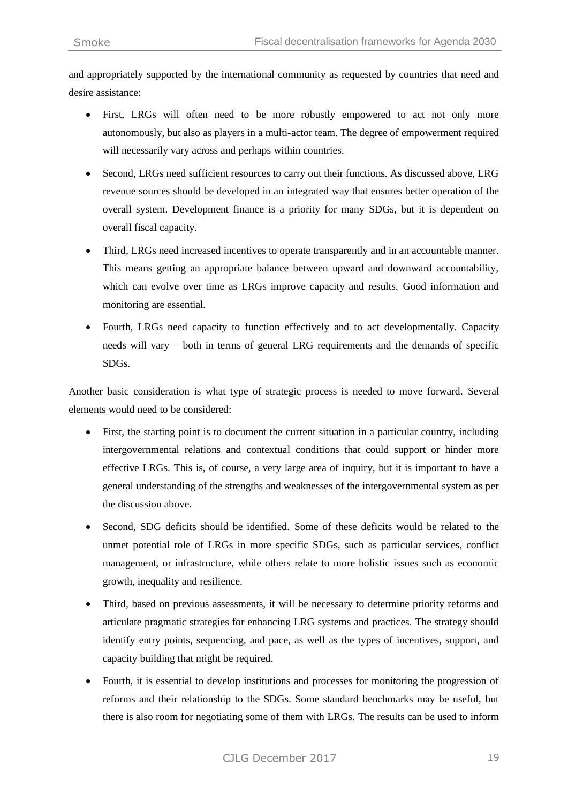and appropriately supported by the international community as requested by countries that need and desire assistance:

- First, LRGs will often need to be more robustly empowered to act not only more autonomously, but also as players in a multi-actor team. The degree of empowerment required will necessarily vary across and perhaps within countries.
- Second, LRGs need sufficient resources to carry out their functions. As discussed above, LRG revenue sources should be developed in an integrated way that ensures better operation of the overall system. Development finance is a priority for many SDGs, but it is dependent on overall fiscal capacity.
- Third, LRGs need increased incentives to operate transparently and in an accountable manner. This means getting an appropriate balance between upward and downward accountability, which can evolve over time as LRGs improve capacity and results. Good information and monitoring are essential.
- Fourth, LRGs need capacity to function effectively and to act developmentally. Capacity needs will vary – both in terms of general LRG requirements and the demands of specific SDGs.

Another basic consideration is what type of strategic process is needed to move forward. Several elements would need to be considered:

- First, the starting point is to document the current situation in a particular country, including intergovernmental relations and contextual conditions that could support or hinder more effective LRGs. This is, of course, a very large area of inquiry, but it is important to have a general understanding of the strengths and weaknesses of the intergovernmental system as per the discussion above.
- Second, SDG deficits should be identified. Some of these deficits would be related to the unmet potential role of LRGs in more specific SDGs, such as particular services, conflict management, or infrastructure, while others relate to more holistic issues such as economic growth, inequality and resilience.
- Third, based on previous assessments, it will be necessary to determine priority reforms and articulate pragmatic strategies for enhancing LRG systems and practices. The strategy should identify entry points, sequencing, and pace, as well as the types of incentives, support, and capacity building that might be required.
- Fourth, it is essential to develop institutions and processes for monitoring the progression of reforms and their relationship to the SDGs. Some standard benchmarks may be useful, but there is also room for negotiating some of them with LRGs. The results can be used to inform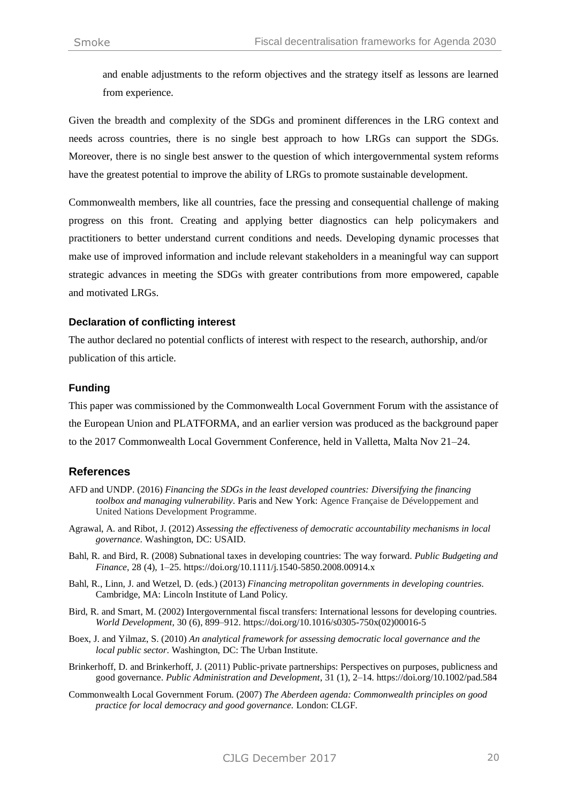and enable adjustments to the reform objectives and the strategy itself as lessons are learned from experience.

Given the breadth and complexity of the SDGs and prominent differences in the LRG context and needs across countries, there is no single best approach to how LRGs can support the SDGs. Moreover, there is no single best answer to the question of which intergovernmental system reforms have the greatest potential to improve the ability of LRGs to promote sustainable development.

Commonwealth members, like all countries, face the pressing and consequential challenge of making progress on this front. Creating and applying better diagnostics can help policymakers and practitioners to better understand current conditions and needs. Developing dynamic processes that make use of improved information and include relevant stakeholders in a meaningful way can support strategic advances in meeting the SDGs with greater contributions from more empowered, capable and motivated LRGs.

### **Declaration of conflicting interest**

The author declared no potential conflicts of interest with respect to the research, authorship, and/or publication of this article.

### **Funding**

This paper was commissioned by the Commonwealth Local Government Forum with the assistance of the European Union and PLATFORMA, and an earlier version was produced as the background paper to the 2017 Commonwealth Local Government Conference, held in Valletta, Malta Nov 21–24.

# **References**

- AFD and UNDP. (2016) *Financing the SDGs in the least developed countries: Diversifying the financing toolbox and managing vulnerability*. Paris and New York: Agence Française de Développement and United Nations Development Programme.
- Agrawal, A. and Ribot, J. (2012) *Assessing the effectiveness of democratic accountability mechanisms in local governance*. Washington, DC: USAID.
- Bahl, R. and Bird, R. (2008) Subnational taxes in developing countries: The way forward. *Public Budgeting and Finance*, 28 (4), 1–25. <https://doi.org/10.1111/j.1540-5850.2008.00914.x>
- Bahl, R., Linn, J. and Wetzel, D. (eds.) (2013) *Financing metropolitan governments in developing countries*. Cambridge, MA: Lincoln Institute of Land Policy.
- Bird, R. and Smart, M. (2002) Intergovernmental fiscal transfers: International lessons for developing countries. *World Development,* 30 (6), 899–912. [https://doi.org/10.1016/s0305-750x\(02\)00016-5](https://doi.org/10.1016/s0305-750x(02)00016-5)
- Boex, J. and Yilmaz, S. (2010) *An analytical framework for assessing democratic local governance and the local public sector*. Washington, DC: The Urban Institute.
- Brinkerhoff, D. and Brinkerhoff, J. (2011) Public-private partnerships: Perspectives on purposes, publicness and good governance. *Public Administration and Development*, 31 (1), 2–14. <https://doi.org/10.1002/pad.584>
- Commonwealth Local Government Forum. (2007) *The Aberdeen agenda: Commonwealth principles on good practice for local democracy and good governance.* London: CLGF.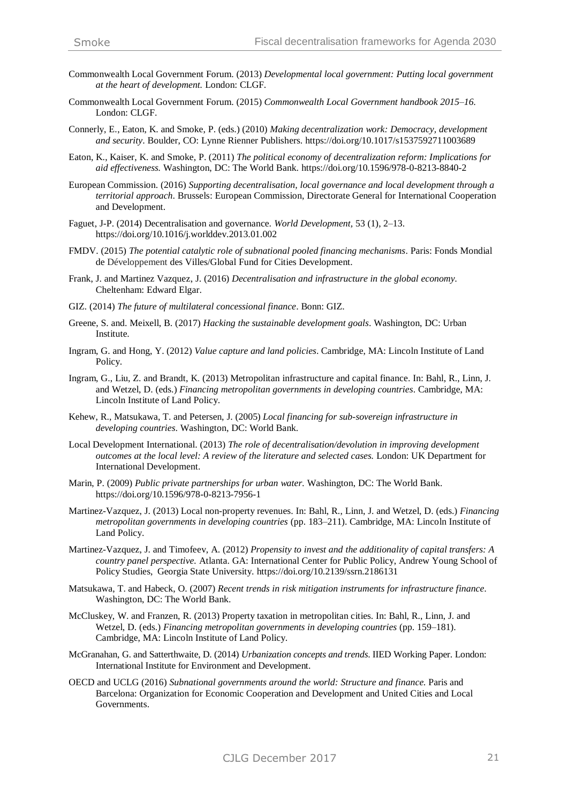- Commonwealth Local Government Forum. (2013) *Developmental local government: Putting local government at the heart of development.* London: CLGF.
- Commonwealth Local Government Forum. (2015) *Commonwealth Local Government handbook 2015–16.* London: CLGF.
- Connerly, E., Eaton, K. and Smoke, P. (eds.) (2010) *Making decentralization work: Democracy, development and security*. Boulder, CO: Lynne Rienner Publishers. <https://doi.org/10.1017/s1537592711003689>
- Eaton, K., Kaiser, K. and Smoke, P. (2011) *The political economy of decentralization reform: Implications for aid effectiveness.* Washington, DC: The World Bank. <https://doi.org/10.1596/978-0-8213-8840-2>
- European Commission. (2016) *Supporting decentralisation, local governance and local development through a territorial approach*. Brussels: European Commission, Directorate General for International Cooperation and Development.
- Faguet, J-P. (2014) Decentralisation and governance. *World Development,* 53 (1), 2–13. <https://doi.org/10.1016/j.worlddev.2013.01.002>
- FMDV. (2015) *The potential catalytic role of subnational pooled financing mechanisms*. Paris: Fonds Mondial de Développement des Villes/Global Fund for Cities Development.
- Frank, J. and Martinez Vazquez, J. (2016) *Decentralisation and infrastructure in the global economy.* Cheltenham: Edward Elgar.
- GIZ. (2014) *The future of multilateral concessional finance*. Bonn: GIZ.
- Greene, S. and. Meixell, B. (2017) *Hacking the sustainable development goals*. Washington, DC: Urban Institute.
- Ingram, G. and Hong, Y. (2012) *Value capture and land policies*. Cambridge, MA: Lincoln Institute of Land Policy.
- Ingram, G., Liu, Z. and Brandt, K. (2013) Metropolitan infrastructure and capital finance. In: Bahl, R., Linn, J. and Wetzel, D. (eds.) *Financing metropolitan governments in developing countries*. Cambridge, MA: Lincoln Institute of Land Policy.
- Kehew, R., Matsukawa, T. and Petersen, J. (2005) *Local financing for sub-sovereign infrastructure in developing countries*. Washington, DC: World Bank.
- Local Development International. (2013) *The role of decentralisation/devolution in improving development outcomes at the local level: A review of the literature and selected cases.* London: UK Department for International Development.
- Marin, P. (2009) *Public private partnerships for urban water.* Washington, DC: The World Bank. <https://doi.org/10.1596/978-0-8213-7956-1>
- Martinez-Vazquez, J. (2013) Local non-property revenues. In: Bahl, R., Linn, J. and Wetzel, D. (eds.) *Financing metropolitan governments in developing countries* (pp. 183–211). Cambridge, MA: Lincoln Institute of Land Policy.
- Martinez-Vazquez, J. and Timofeev, A. (2012) *Propensity to invest and the additionality of capital transfers: A country panel perspective.* Atlanta. GA: International Center for Public Policy, Andrew Young School of Policy Studies, Georgia State University. [https://doi.org/10.2139/ssrn.2186131](https://doi.org/10.2139/ssrn.2186131 )
- Matsukawa, T. and Habeck, O. (2007) *Recent trends in risk mitigation instruments for infrastructure finance.* Washington, DC: The World Bank.
- McCluskey, W. and Franzen, R. (2013) Property taxation in metropolitan cities. In: Bahl, R., Linn, J. and Wetzel, D. (eds.) *Financing metropolitan governments in developing countries* (pp. 159–181). Cambridge, MA: Lincoln Institute of Land Policy.
- McGranahan, G. and Satterthwaite, D. (2014) *Urbanization concepts and trends*. IIED Working Paper. London: International Institute for Environment and Development.
- OECD and UCLG (2016) *Subnational governments around the world: Structure and finance.* Paris and Barcelona: Organization for Economic Cooperation and Development and United Cities and Local Governments.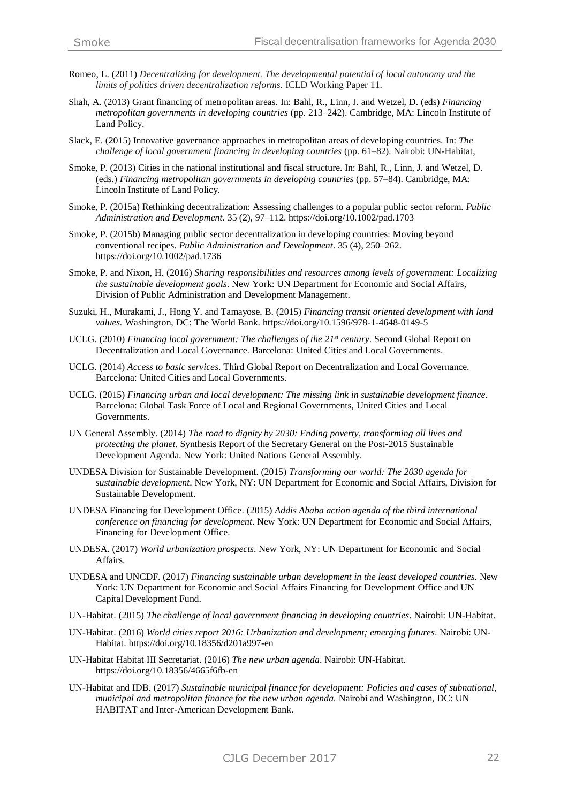- Romeo, L. (2011) *Decentralizing for development. The developmental potential of local autonomy and the limits of politics driven decentralization reforms.* ICLD Working Paper 11.
- Shah, A. (2013) Grant financing of metropolitan areas. In: Bahl, R., Linn, J. and Wetzel, D. (eds) *Financing metropolitan governments in developing countries* (pp. 213–242). Cambridge, MA: Lincoln Institute of Land Policy.
- Slack, E. (2015) Innovative governance approaches in metropolitan areas of developing countries. In: *The challenge of local government financing in developing countries* (pp. 61–82)*.* Nairobi: UN-Habitat,
- Smoke, P. (2013) Cities in the national institutional and fiscal structure. In: Bahl, R., Linn, J. and Wetzel, D. (eds.) *Financing metropolitan governments in developing countries* (pp. 57–84). Cambridge, MA: Lincoln Institute of Land Policy.
- Smoke, P. (2015a) Rethinking decentralization: Assessing challenges to a popular public sector reform. *Public Administration and Development*. 35 (2), 97–112.<https://doi.org/10.1002/pad.1703>
- Smoke, P. (2015b) Managing public sector decentralization in developing countries: Moving beyond conventional recipes. *Public Administration and Development*. 35 (4), 250–262. <https://doi.org/10.1002/pad.1736>
- Smoke, P. and Nixon, H. (2016) *Sharing responsibilities and resources among levels of government: Localizing the sustainable development goals*. New York: UN Department for Economic and Social Affairs, Division of Public Administration and Development Management.
- Suzuki, H., Murakami, J., Hong Y. and Tamayose. B. (2015) *Financing transit oriented development with land values.* Washington, DC: The World Bank. <https://doi.org/10.1596/978-1-4648-0149-5>
- UCLG. (2010) *Financing local government: The challenges of the 21st century*. Second Global Report on Decentralization and Local Governance. Barcelona: United Cities and Local Governments.
- UCLG. (2014) *Access to basic services*. Third Global Report on Decentralization and Local Governance. Barcelona: United Cities and Local Governments.
- UCLG. (2015) *Financing urban and local development: The missing link in sustainable development finance*. Barcelona: Global Task Force of Local and Regional Governments, United Cities and Local Governments.
- UN General Assembly. (2014) *The road to dignity by 2030: Ending poverty, transforming all lives and protecting the planet.* Synthesis Report of the Secretary General on the Post-2015 Sustainable Development Agenda. New York: United Nations General Assembly.
- UNDESA Division for Sustainable Development. (2015) *Transforming our world: The 2030 agenda for sustainable development*. New York, NY: UN Department for Economic and Social Affairs, Division for Sustainable Development.
- UNDESA Financing for Development Office. (2015) *Addis Ababa action agenda of the third international conference on financing for development*. New York: UN Department for Economic and Social Affairs, Financing for Development Office.
- UNDESA. (2017) *World urbanization prospects*. New York, NY: UN Department for Economic and Social Affairs.
- UNDESA and UNCDF. (2017) *Financing sustainable urban development in the least developed countries*. New York: UN Department for Economic and Social Affairs Financing for Development Office and UN Capital Development Fund.
- UN-Habitat. (2015) *The challenge of local government financing in developing countries*. Nairobi: UN-Habitat.
- UN-Habitat. (2016) *World cities report 2016: Urbanization and development; emerging futures*. Nairobi: UN-Habitat.<https://doi.org/10.18356/d201a997-en>
- UN-Habitat Habitat III Secretariat. (2016) *The new urban agenda*. Nairobi: UN-Habitat. <https://doi.org/10.18356/4665f6fb-en>
- UN-Habitat and IDB. (2017) *Sustainable municipal finance for development: Policies and cases of subnational, municipal and metropolitan finance for the new urban agenda.* Nairobi and Washington, DC: UN HABITAT and Inter-American Development Bank.